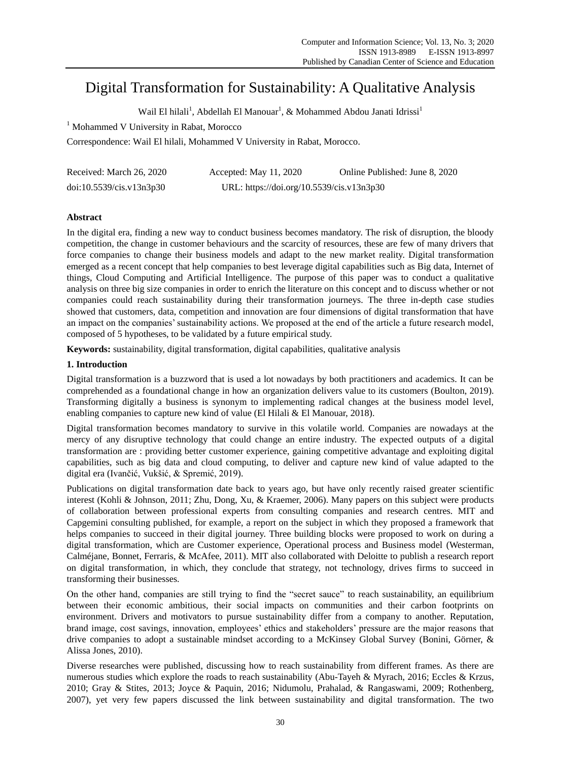# Digital Transformation for Sustainability: A Qualitative Analysis

Wail El hilali<sup>1</sup>, Abdellah El Manouar<sup>1</sup>, & Mohammed Abdou Janati Idrissi<sup>1</sup>

<sup>1</sup> Mohammed V University in Rabat, Morocco

Correspondence: Wail El hilali, Mohammed V University in Rabat, Morocco.

| Received: March 26, 2020 | Accepted: May $11, 2020$                  | Online Published: June 8, 2020 |  |  |  |
|--------------------------|-------------------------------------------|--------------------------------|--|--|--|
| doi:10.5539/cis.v13n3p30 | URL: https://doi.org/10.5539/cis.v13n3p30 |                                |  |  |  |

# **Abstract**

In the digital era, finding a new way to conduct business becomes mandatory. The risk of disruption, the bloody competition, the change in customer behaviours and the scarcity of resources, these are few of many drivers that force companies to change their business models and adapt to the new market reality. Digital transformation emerged as a recent concept that help companies to best leverage digital capabilities such as Big data, Internet of things, Cloud Computing and Artificial Intelligence. The purpose of this paper was to conduct a qualitative analysis on three big size companies in order to enrich the literature on this concept and to discuss whether or not companies could reach sustainability during their transformation journeys. The three in-depth case studies showed that customers, data, competition and innovation are four dimensions of digital transformation that have an impact on the companies' sustainability actions. We proposed at the end of the article a future research model, composed of 5 hypotheses, to be validated by a future empirical study.

**Keywords:** sustainability, digital transformation, digital capabilities, qualitative analysis

# **1. Introduction**

Digital transformation is a buzzword that is used a lot nowadays by both practitioners and academics. It can be comprehended as a foundational change in how an organization delivers value to its customers [\(Boulton, 2019\)](#page-7-0). Transforming digitally a business is synonym to implementing radical changes at the business model level, enabling companies to capture new kind of value [\(El Hilali & El Manouar, 2018\)](#page-8-0).

Digital transformation becomes mandatory to survive in this volatile world. Companies are nowadays at the mercy of any disruptive technology that could change an entire industry. The expected outputs of a digital transformation are : providing better customer experience, gaining competitive advantage and exploiting digital capabilities, such as big data and cloud computing, to deliver and capture new kind of value adapted to the digital era [\(Ivančić, Vukšić, & Spremić, 2019\)](#page-8-1).

Publications on digital transformation date back to years ago, but have only recently raised greater scientific interest [\(Kohli & Johnson, 2011;](#page-8-2) [Zhu, Dong, Xu, & Kraemer, 2006\)](#page-9-0). Many papers on this subject were products of collaboration between professional experts from consulting companies and research centres. MIT and Capgemini consulting published, for example, a report on the subject in which they proposed a framework that helps companies to succeed in their digital journey. Three building blocks were proposed to work on during a digital transformation, which are Customer experience, Operational process and Business model [\(Westerman,](#page-9-1)  [Calméjane, Bonnet, Ferraris, & McAfee, 2011\)](#page-9-1). MIT also collaborated with Deloitte to publish a research report on digital transformation, in which, they conclude that strategy, not technology, drives firms to succeed in transforming their businesses.

On the other hand, companies are still trying to find the "secret sauce" to reach sustainability, an equilibrium between their economic ambitious, their social impacts on communities and their carbon footprints on environment. Drivers and motivators to pursue sustainability differ from a company to another. Reputation, brand image, cost savings, innovation, employees' ethics and stakeholders' pressure are the major reasons that drive companies to adopt a sustainable mindset according to a McKinsey Global Survey [\(Bonini, Görner, &](#page-7-1)  [Alissa Jones, 2010\)](#page-7-1).

Diverse researches were published, discussing how to reach sustainability from different frames. As there are numerous studies which explore the roads to reach sustainability [\(Abu-Tayeh & Myrach, 2016;](#page-7-2) Eccles & Krzus, [2010;](#page-8-3) [Gray & Stites, 2013;](#page-8-4) [Joyce & Paquin, 2016;](#page-8-5) [Nidumolu, Prahalad, & Rangaswami, 2009;](#page-8-6) [Rothenberg,](#page-9-2)  [2007\)](#page-9-2), yet very few papers discussed the link between sustainability and digital transformation. The two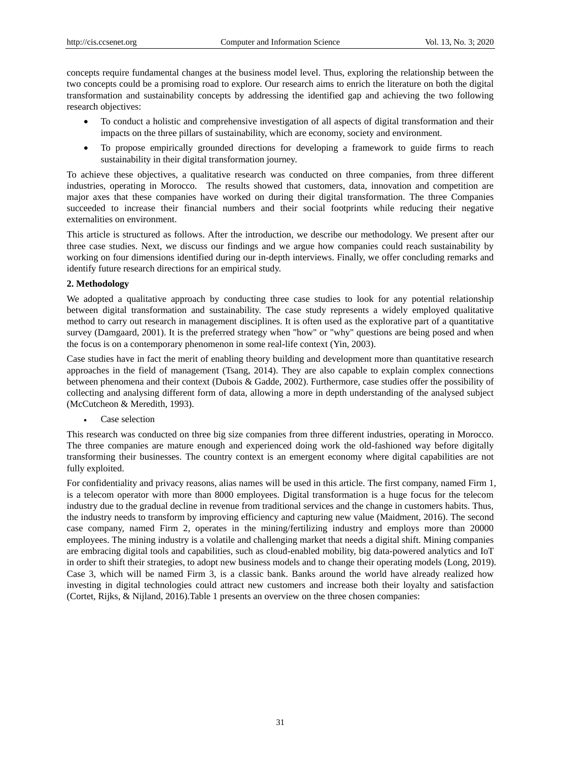concepts require fundamental changes at the business model level. Thus, exploring the relationship between the two concepts could be a promising road to explore. Our research aims to enrich the literature on both the digital transformation and sustainability concepts by addressing the identified gap and achieving the two following research objectives:

- To conduct a holistic and comprehensive investigation of all aspects of digital transformation and their impacts on the three pillars of sustainability, which are economy, society and environment.
- To propose empirically grounded directions for developing a framework to guide firms to reach sustainability in their digital transformation journey.

To achieve these objectives, a qualitative research was conducted on three companies, from three different industries, operating in Morocco. The results showed that customers, data, innovation and competition are major axes that these companies have worked on during their digital transformation. The three Companies succeeded to increase their financial numbers and their social footprints while reducing their negative externalities on environment.

This article is structured as follows. After the introduction, we describe our methodology. We present after our three case studies. Next, we discuss our findings and we argue how companies could reach sustainability by working on four dimensions identified during our in-depth interviews. Finally, we offer concluding remarks and identify future research directions for an empirical study.

# **2. Methodology**

We adopted a qualitative approach by conducting three case studies to look for any potential relationship between digital transformation and sustainability. The case study represents a widely employed qualitative method to carry out research in management disciplines. It is often used as the explorative part of a quantitative survey [\(Damgaard, 2001\)](#page-7-3). It is the preferred strategy when "how" or "why" questions are being posed and when the focus is on a contemporary phenomenon in some real-life context [\(Yin, 2003\)](#page-9-3).

Case studies have in fact the merit of enabling theory building and development more than quantitative research approaches in the field of management [\(Tsang, 2014\)](#page-9-4). They are also capable to explain complex connections between phenomena and their context [\(Dubois & Gadde, 2002\)](#page-8-7). Furthermore, case studies offer the possibility of collecting and analysing different form of data, allowing a more in depth understanding of the analysed subject [\(McCutcheon & Meredith, 1993\)](#page-8-8).

Case selection

This research was conducted on three big size companies from three different industries, operating in Morocco. The three companies are mature enough and experienced doing work the old-fashioned way before digitally transforming their businesses. The country context is an emergent economy where digital capabilities are not fully exploited.

For confidentiality and privacy reasons, alias names will be used in this article. The first company, named Firm 1, is a telecom operator with more than 8000 employees. Digital transformation is a huge focus for the telecom industry due to the gradual decline in revenue from traditional services and the change in customers habits. Thus, the industry needs to transform by improving efficiency and capturing new value [\(Maidment, 2016\)](#page-8-9). The second case company, named Firm 2, operates in the mining/fertilizing industry and employs more than 20000 employees. The mining industry is a volatile and challenging market that needs a digital shift. Mining companies are embracing digital tools and capabilities, such as cloud-enabled mobility, big data-powered analytics and IoT in order to shift their strategies, to adopt new business models and to change their operating models [\(Long, 2019\)](#page-8-10). Case 3, which will be named Firm 3, is a classic bank. Banks around the world have already realized how investing in digital technologies could attract new customers and increase both their loyalty and satisfaction [\(Cortet, Rijks, & Nijland, 2016\)](#page-7-4).Table 1 presents an overview on the three chosen companies: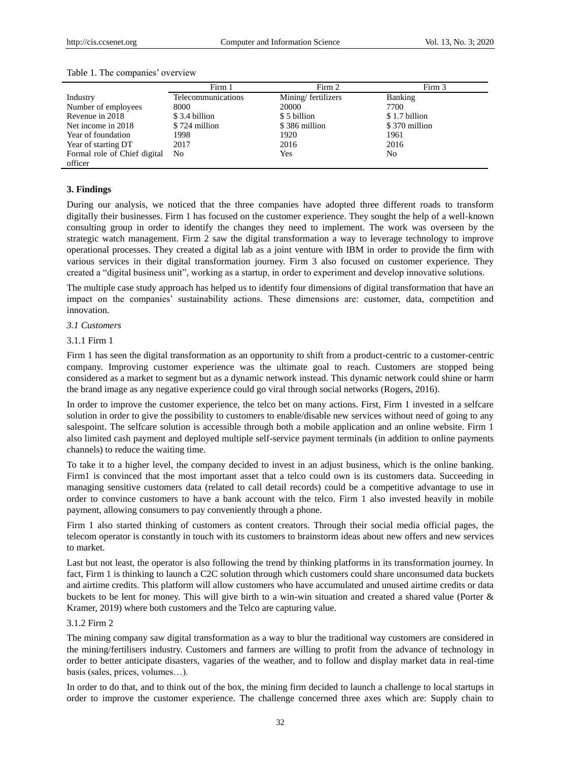|                              | Firm 1             | Firm 2             | Firm 3         |
|------------------------------|--------------------|--------------------|----------------|
| Industry                     | Telecommunications | Mining/fertilizers | <b>Banking</b> |
| Number of employees          | 8000               | 20000              | 7700           |
| Revenue in 2018              | \$3.4 billion      | \$5 billion        | \$1.7 billion  |
| Net income in 2018           | \$724 million      | \$386 million      | \$370 million  |
| Year of foundation           | 1998               | 1920               | 1961           |
| Year of starting DT          | 2017               | 2016               | 2016           |
| Formal role of Chief digital | No.                | Yes                | No             |
| officer                      |                    |                    |                |

#### Table 1. The companies' overview

## **3. Findings**

During our analysis, we noticed that the three companies have adopted three different roads to transform digitally their businesses. Firm 1 has focused on the customer experience. They sought the help of a well-known consulting group in order to identify the changes they need to implement. The work was overseen by the strategic watch management. Firm 2 saw the digital transformation a way to leverage technology to improve operational processes. They created a digital lab as a joint venture with IBM in order to provide the firm with various services in their digital transformation journey. Firm 3 also focused on customer experience. They created a "digital business unit", working as a startup, in order to experiment and develop innovative solutions.

The multiple case study approach has helped us to identify four dimensions of digital transformation that have an impact on the companies' sustainability actions. These dimensions are: customer, data, competition and innovation.

#### *3.1 Customers*

#### 3.1.1 Firm 1

Firm 1 has seen the digital transformation as an opportunity to shift from a product-centric to a customer-centric company. Improving customer experience was the ultimate goal to reach. Customers are stopped being considered as a market to segment but as a dynamic network instead. This dynamic network could shine or harm the brand image as any negative experience could go viral through social networks [\(Rogers, 2016\)](#page-8-11).

In order to improve the customer experience, the telco bet on many actions. First, Firm 1 invested in a selfcare solution in order to give the possibility to customers to enable/disable new services without need of going to any salespoint. The selfcare solution is accessible through both a mobile application and an online website. Firm 1 also limited cash payment and deployed multiple self-service payment terminals (in addition to online payments channels) to reduce the waiting time.

To take it to a higher level, the company decided to invest in an adjust business, which is the online banking. Firm1 is convinced that the most important asset that a telco could own is its customers data. Succeeding in managing sensitive customers data (related to call detail records) could be a competitive advantage to use in order to convince customers to have a bank account with the telco. Firm 1 also invested heavily in mobile payment, allowing consumers to pay conveniently through a phone.

Firm 1 also started thinking of customers as content creators. Through their social media official pages, the telecom operator is constantly in touch with its customers to brainstorm ideas about new offers and new services to market.

Last but not least, the operator is also following the trend by thinking platforms in its transformation journey. In fact, Firm 1 is thinking to launch a C2C solution through which customers could share unconsumed data buckets and airtime credits. This platform will allow customers who have accumulated and unused airtime credits or data buckets to be lent for money. This will give birth to a win-win situation and created a shared value [\(Porter &](#page-8-12)  [Kramer, 2019\)](#page-8-12) where both customers and the Telco are capturing value.

#### 3.1.2 Firm 2

The mining company saw digital transformation as a way to blur the traditional way customers are considered in the mining/fertilisers industry. Customers and farmers are willing to profit from the advance of technology in order to better anticipate disasters, vagaries of the weather, and to follow and display market data in real-time basis (sales, prices, volumes…).

In order to do that, and to think out of the box, the mining firm decided to launch a challenge to local startups in order to improve the customer experience. The challenge concerned three axes which are: Supply chain to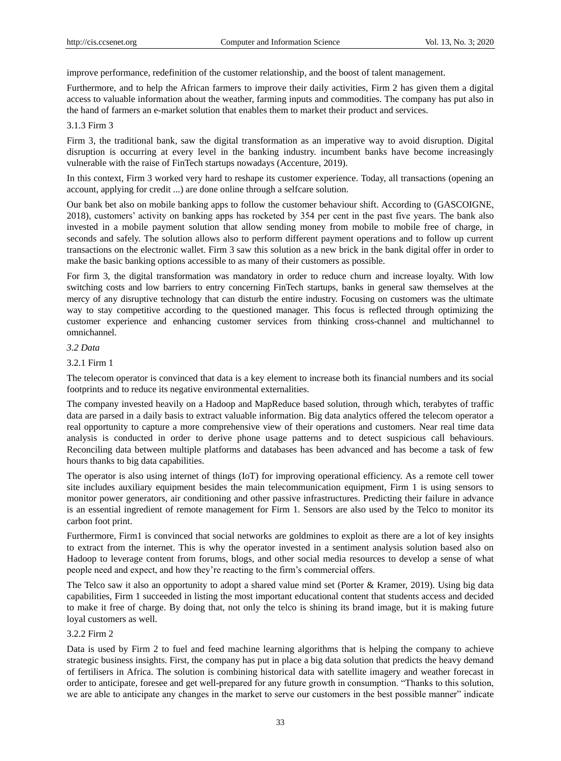improve performance, redefinition of the customer relationship, and the boost of talent management.

Furthermore, and to help the African farmers to improve their daily activities, Firm 2 has given them a digital access to valuable information about the weather, farming inputs and commodities. The company has put also in the hand of farmers an e-market solution that enables them to market their product and services.

#### 3.1.3 Firm 3

Firm 3, the traditional bank, saw the digital transformation as an imperative way to avoid disruption. Digital disruption is occurring at every level in the banking industry. incumbent banks have become increasingly vulnerable with the raise of FinTech startups nowadays [\(Accenture, 2019\)](#page-7-5).

In this context, Firm 3 worked very hard to reshape its customer experience. Today, all transactions (opening an account, applying for credit ...) are done online through a selfcare solution.

Our bank bet also on mobile banking apps to follow the customer behaviour shift. According to [\(GASCOIGNE,](#page-8-13)  [2018\)](#page-8-13), customers' activity on banking apps has rocketed by 354 per cent in the past five years. The bank also invested in a mobile payment solution that allow sending money from mobile to mobile free of charge, in seconds and safely. The solution allows also to perform different payment operations and to follow up current transactions on the electronic wallet. Firm 3 saw this solution as a new brick in the bank digital offer in order to make the basic banking options accessible to as many of their customers as possible.

For firm 3, the digital transformation was mandatory in order to reduce churn and increase loyalty. With low switching costs and low barriers to entry concerning FinTech startups, banks in general saw themselves at the mercy of any disruptive technology that can disturb the entire industry. Focusing on customers was the ultimate way to stay competitive according to the questioned manager. This focus is reflected through optimizing the customer experience and enhancing customer services from thinking cross-channel and multichannel to omnichannel.

# *3.2 Data*

3.2.1 Firm 1

The telecom operator is convinced that data is a key element to increase both its financial numbers and its social footprints and to reduce its negative environmental externalities.

The company invested heavily on a Hadoop and MapReduce based solution, through which, terabytes of traffic data are parsed in a daily basis to extract valuable information. Big data analytics offered the telecom operator a real opportunity to capture a more comprehensive view of their operations and customers. Near real time data analysis is conducted in order to derive phone usage patterns and to detect suspicious call behaviours. Reconciling data between multiple platforms and databases has been advanced and has become a task of few hours thanks to big data capabilities.

The operator is also using internet of things (IoT) for improving operational efficiency. As a remote cell tower site includes auxiliary equipment besides the main telecommunication equipment, Firm 1 is using sensors to monitor power generators, air conditioning and other passive infrastructures. Predicting their failure in advance is an essential ingredient of remote management for Firm 1. Sensors are also used by the Telco to monitor its carbon foot print.

Furthermore, Firm1 is convinced that social networks are goldmines to exploit as there are a lot of key insights to extract from the internet. This is why the operator invested in a sentiment analysis solution based also on Hadoop to leverage content from forums, blogs, and other social media resources to develop a sense of what people need and expect, and how they're reacting to the firm's commercial offers.

The Telco saw it also an opportunity to adopt a shared value mind set [\(Porter & Kramer, 2019\)](#page-8-12). Using big data capabilities, Firm 1 succeeded in listing the most important educational content that students access and decided to make it free of charge. By doing that, not only the telco is shining its brand image, but it is making future loyal customers as well.

# 3.2.2 Firm 2

Data is used by Firm 2 to fuel and feed machine learning algorithms that is helping the company to achieve strategic business insights. First, the company has put in place a big data solution that predicts the heavy demand of fertilisers in Africa. The solution is combining historical data with satellite imagery and weather forecast in order to anticipate, foresee and get well-prepared for any future growth in consumption. "Thanks to this solution, we are able to anticipate any changes in the market to serve our customers in the best possible manner" indicate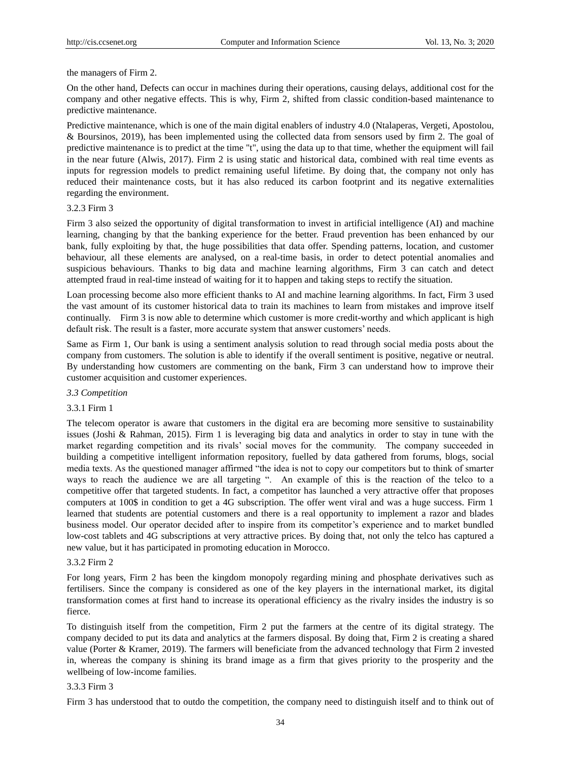the managers of Firm 2.

On the other hand, Defects can occur in machines during their operations, causing delays, additional cost for the company and other negative effects. This is why, Firm 2, shifted from classic condition-based maintenance to predictive maintenance.

Predictive maintenance, which is one of the main digital enablers of industry 4.0 [\(Ntalaperas, Vergeti, Apostolou,](#page-8-14)  [& Boursinos, 2019\)](#page-8-14), has been implemented using the collected data from sensors used by firm 2. The goal of predictive maintenance is to predict at the time "t", using the data up to that time, whether the equipment will fail in the near future [\(Alwis, 2017\)](#page-7-6). Firm 2 is using static and historical data, combined with real time events as inputs for regression models to predict remaining useful lifetime. By doing that, the company not only has reduced their maintenance costs, but it has also reduced its carbon footprint and its negative externalities regarding the environment.

#### 3.2.3 Firm 3

Firm 3 also seized the opportunity of digital transformation to invest in artificial intelligence (AI) and machine learning, changing by that the banking experience for the better. Fraud prevention has been enhanced by our bank, fully exploiting by that, the huge possibilities that data offer. Spending patterns, location, and customer behaviour, all these elements are analysed, on a real-time basis, in order to detect potential anomalies and suspicious behaviours. Thanks to big data and machine learning algorithms, Firm 3 can catch and detect attempted fraud in real-time instead of waiting for it to happen and taking steps to rectify the situation.

Loan processing become also more efficient thanks to AI and machine learning algorithms. In fact, Firm 3 used the vast amount of its customer historical data to train its machines to learn from mistakes and improve itself continually. Firm 3 is now able to determine which customer is more credit-worthy and which applicant is high default risk. The result is a faster, more accurate system that answer customers' needs.

Same as Firm 1, Our bank is using a sentiment analysis solution to read through social media posts about the company from customers. The solution is able to identify if the overall sentiment is positive, negative or neutral. By understanding how customers are commenting on the bank, Firm 3 can understand how to improve their customer acquisition and customer experiences.

# *3.3 Competition*

# 3.3.1 Firm 1

The telecom operator is aware that customers in the digital era are becoming more sensitive to sustainability issues [\(Joshi & Rahman, 2015\)](#page-8-15). Firm 1 is leveraging big data and analytics in order to stay in tune with the market regarding competition and its rivals' social moves for the community. The company succeeded in building a competitive intelligent information repository, fuelled by data gathered from forums, blogs, social media texts. As the questioned manager affirmed "the idea is not to copy our competitors but to think of smarter ways to reach the audience we are all targeting ". An example of this is the reaction of the telco to a competitive offer that targeted students. In fact, a competitor has launched a very attractive offer that proposes computers at 100\$ in condition to get a 4G subscription. The offer went viral and was a huge success. Firm 1 learned that students are potential customers and there is a real opportunity to implement a razor and blades business model. Our operator decided after to inspire from its competitor's experience and to market bundled low-cost tablets and 4G subscriptions at very attractive prices. By doing that, not only the telco has captured a new value, but it has participated in promoting education in Morocco.

# 3.3.2 Firm 2

For long years, Firm 2 has been the kingdom monopoly regarding mining and phosphate derivatives such as fertilisers. Since the company is considered as one of the key players in the international market, its digital transformation comes at first hand to increase its operational efficiency as the rivalry insides the industry is so fierce.

To distinguish itself from the competition, Firm 2 put the farmers at the centre of its digital strategy. The company decided to put its data and analytics at the farmers disposal. By doing that, Firm 2 is creating a shared value [\(Porter & Kramer, 2019\)](#page-8-12). The farmers will beneficiate from the advanced technology that Firm 2 invested in, whereas the company is shining its brand image as a firm that gives priority to the prosperity and the wellbeing of low-income families.

#### 3.3.3 Firm 3

Firm 3 has understood that to outdo the competition, the company need to distinguish itself and to think out of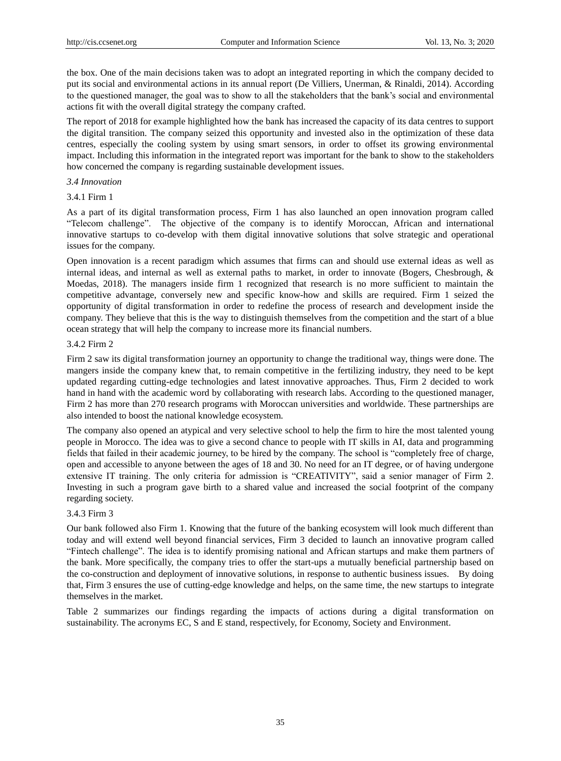the box. One of the main decisions taken was to adopt an integrated reporting in which the company decided to put its social and environmental actions in its annual report [\(De Villiers, Unerman, & Rinaldi, 2014\)](#page-8-16). According to the questioned manager, the goal was to show to all the stakeholders that the bank's social and environmental actions fit with the overall digital strategy the company crafted.

The report of 2018 for example highlighted how the bank has increased the capacity of its data centres to support the digital transition. The company seized this opportunity and invested also in the optimization of these data centres, especially the cooling system by using smart sensors, in order to offset its growing environmental impact. Including this information in the integrated report was important for the bank to show to the stakeholders how concerned the company is regarding sustainable development issues.

## *3.4 Innovation*

# 3.4.1 Firm 1

As a part of its digital transformation process, Firm 1 has also launched an open innovation program called "Telecom challenge". The objective of the company is to identify Moroccan, African and international innovative startups to co-develop with them digital innovative solutions that solve strategic and operational issues for the company.

Open innovation is a recent paradigm which assumes that firms can and should use external ideas as well as internal ideas, and internal as well as external paths to market, in order to innovate [\(Bogers, Chesbrough, &](#page-7-7)  [Moedas, 2018\)](#page-7-7). The managers inside firm 1 recognized that research is no more sufficient to maintain the competitive advantage, conversely new and specific know-how and skills are required. Firm 1 seized the opportunity of digital transformation in order to redefine the process of research and development inside the company. They believe that this is the way to distinguish themselves from the competition and the start of a blue ocean strategy that will help the company to increase more its financial numbers.

#### 3.4.2 Firm 2

Firm 2 saw its digital transformation journey an opportunity to change the traditional way, things were done. The mangers inside the company knew that, to remain competitive in the fertilizing industry, they need to be kept updated regarding cutting-edge technologies and latest innovative approaches. Thus, Firm 2 decided to work hand in hand with the academic word by collaborating with research labs. According to the questioned manager, Firm 2 has more than 270 research programs with Moroccan universities and worldwide. These partnerships are also intended to boost the national knowledge ecosystem.

The company also opened an atypical and very selective school to help the firm to hire the most talented young people in Morocco. The idea was to give a second chance to people with IT skills in AI, data and programming fields that failed in their academic journey, to be hired by the company. The school is "completely free of charge, open and accessible to anyone between the ages of 18 and 30. No need for an IT degree, or of having undergone extensive IT training. The only criteria for admission is "CREATIVITY", said a senior manager of Firm 2. Investing in such a program gave birth to a shared value and increased the social footprint of the company regarding society.

# 3.4.3 Firm 3

Our bank followed also Firm 1. Knowing that the future of the banking ecosystem will look much different than today and will extend well beyond financial services, Firm 3 decided to launch an innovative program called "Fintech challenge". The idea is to identify promising national and African startups and make them partners of the bank. More specifically, the company tries to offer the start-ups a mutually beneficial partnership based on the co-construction and deployment of innovative solutions, in response to authentic business issues. By doing that, Firm 3 ensures the use of cutting-edge knowledge and helps, on the same time, the new startups to integrate themselves in the market.

Table 2 summarizes our findings regarding the impacts of actions during a digital transformation on sustainability. The acronyms EC, S and E stand, respectively, for Economy, Society and Environment.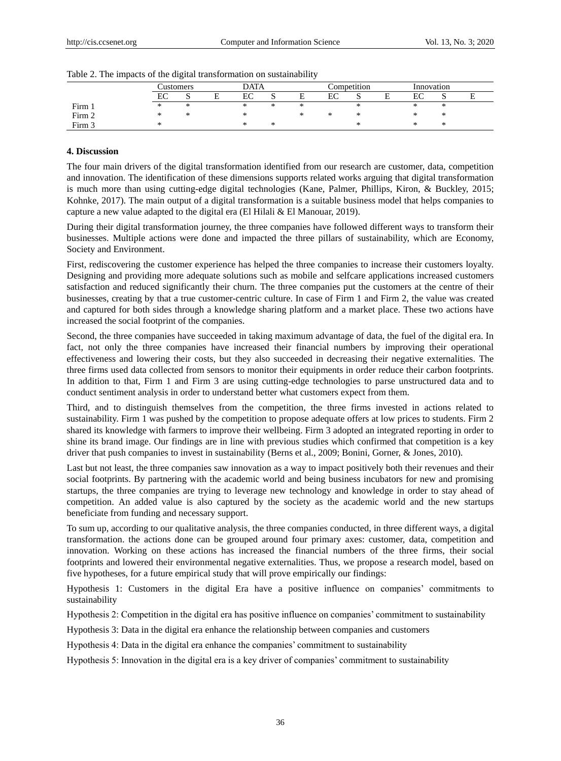|        | `ustomers |                              | <b>DATA</b> |        |     | Competition |    |     | Innovation |           |           |  |
|--------|-----------|------------------------------|-------------|--------|-----|-------------|----|-----|------------|-----------|-----------|--|
|        | EC        | ື                            |             | EC     | . . |             | EC | ມ   |            | гc<br>EА. | ື         |  |
| Firm 1 | $\ast$    | $\mathbf{A}$<br>$\mathbb{R}$ |             | ∗      | ∗   | Also        |    | ste |            | ste       | ste.<br>灬 |  |
| Firm 2 | $\ast$    | Also                         |             | $\ast$ |     |             | ∗  |     |            |           | ste.<br>ѫ |  |
| Firm 3 | ∗         |                              |             | ∗      | ∗   |             |    |     |            |           | ∗         |  |

Table 2. The impacts of the digital transformation on sustainability

#### **4. Discussion**

The four main drivers of the digital transformation identified from our research are customer, data, competition and innovation. The identification of these dimensions supports related works arguing that digital transformation is much more than using cutting-edge digital technologies [\(Kane, Palmer, Phillips, Kiron, & Buckley, 2015;](#page-8-17) [Kohnke, 2017\)](#page-8-18). The main output of a digital transformation is a suitable business model that helps companies to capture a new value adapted to the digital era [\(El Hilali & El Manouar, 2019\)](#page-8-19).

During their digital transformation journey, the three companies have followed different ways to transform their businesses. Multiple actions were done and impacted the three pillars of sustainability, which are Economy, Society and Environment.

First, rediscovering the customer experience has helped the three companies to increase their customers loyalty. Designing and providing more adequate solutions such as mobile and selfcare applications increased customers satisfaction and reduced significantly their churn. The three companies put the customers at the centre of their businesses, creating by that a true customer-centric culture. In case of Firm 1 and Firm 2, the value was created and captured for both sides through a knowledge sharing platform and a market place. These two actions have increased the social footprint of the companies.

Second, the three companies have succeeded in taking maximum advantage of data, the fuel of the digital era. In fact, not only the three companies have increased their financial numbers by improving their operational effectiveness and lowering their costs, but they also succeeded in decreasing their negative externalities. The three firms used data collected from sensors to monitor their equipments in order reduce their carbon footprints. In addition to that, Firm 1 and Firm 3 are using cutting-edge technologies to parse unstructured data and to conduct sentiment analysis in order to understand better what customers expect from them.

Third, and to distinguish themselves from the competition, the three firms invested in actions related to sustainability. Firm 1 was pushed by the competition to propose adequate offers at low prices to students. Firm 2 shared its knowledge with farmers to improve their wellbeing. Firm 3 adopted an integrated reporting in order to shine its brand image. Our findings are in line with previous studies which confirmed that competition is a key driver that push companies to invest in sustainability [\(Berns et al., 2009;](#page-7-8) [Bonini, Gorner, & Jones, 2010\)](#page-7-9).

Last but not least, the three companies saw innovation as a way to impact positively both their revenues and their social footprints. By partnering with the academic world and being business incubators for new and promising startups, the three companies are trying to leverage new technology and knowledge in order to stay ahead of competition. An added value is also captured by the society as the academic world and the new startups beneficiate from funding and necessary support.

To sum up, according to our qualitative analysis, the three companies conducted, in three different ways, a digital transformation. the actions done can be grouped around four primary axes: customer, data, competition and innovation. Working on these actions has increased the financial numbers of the three firms, their social footprints and lowered their environmental negative externalities. Thus, we propose a research model, based on five hypotheses, for a future empirical study that will prove empirically our findings:

Hypothesis 1: Customers in the digital Era have a positive influence on companies' commitments to sustainability

Hypothesis 2: Competition in the digital era has positive influence on companies' commitment to sustainability

Hypothesis 3: Data in the digital era enhance the relationship between companies and customers

Hypothesis 4: Data in the digital era enhance the companies' commitment to sustainability

Hypothesis 5: Innovation in the digital era is a key driver of companies' commitment to sustainability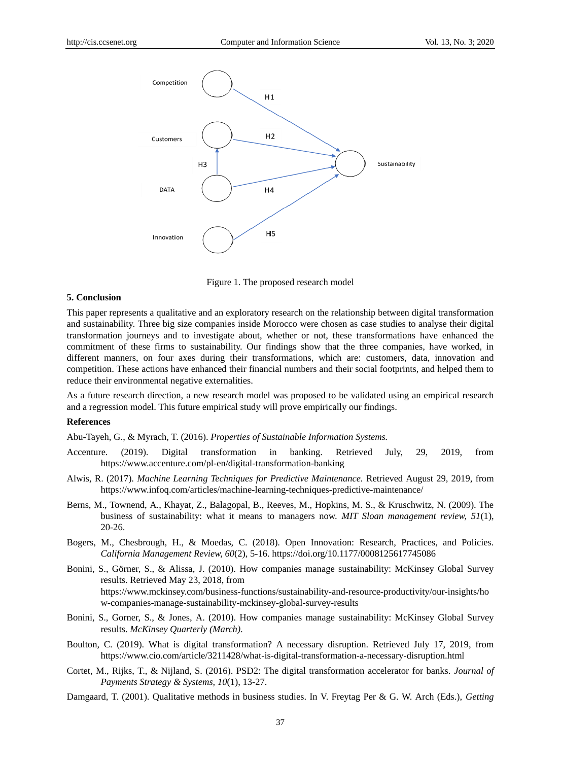

Figure 1. The proposed research model

## **5. Conclusion**

This paper represents a qualitative and an exploratory research on the relationship between digital transformation and sustainability. Three big size companies inside Morocco were chosen as case studies to analyse their digital transformation journeys and to investigate about, whether or not, these transformations have enhanced the commitment of these firms to sustainability. Our findings show that the three companies, have worked, in different manners, on four axes during their transformations, which are: customers, data, innovation and competition. These actions have enhanced their financial numbers and their social footprints, and helped them to reduce their environmental negative externalities.

As a future research direction, a new research model was proposed to be validated using an empirical research and a regression model. This future empirical study will prove empirically our findings.

### **References**

<span id="page-7-2"></span>Abu-Tayeh, G., & Myrach, T. (2016). *Properties of Sustainable Information Systems.* 

- <span id="page-7-5"></span>Accenture. (2019). Digital transformation in banking. Retrieved July, 29, 2019, from https:[//www.accenture.com/pl-en/digital-transformation-banking](http://www.accenture.com/pl-en/digital-transformation-banking)
- <span id="page-7-6"></span>Alwis, R. (2017). *Machine Learning Techniques for Predictive Maintenance.* Retrieved August 29, 2019, from https:[//www.infoq.com/articles/machine-learning-techniques-predictive-maintenance/](http://www.infoq.com/articles/machine-learning-techniques-predictive-maintenance/)
- <span id="page-7-8"></span>Berns, M., Townend, A., Khayat, Z., Balagopal, B., Reeves, M., Hopkins, M. S., & Kruschwitz, N. (2009). The business of sustainability: what it means to managers now. *MIT Sloan management review, 51*(1), 20-26.
- <span id="page-7-7"></span>Bogers, M., Chesbrough, H., & Moedas, C. (2018). Open Innovation: Research, Practices, and Policies. *California Management Review, 60*(2), 5-16. https://doi.org/10.1177/0008125617745086
- <span id="page-7-1"></span>Bonini, S., Görner, S., & Alissa, J. (2010). How companies manage sustainability: McKinsey Global Survey results. Retrieved May 23, 2018, from https:[//www.mckinsey.com/business-functions/sustainability-and-resource-productivity/our-insights/ho](http://www.mckinsey.com/business-functions/sustainability-and-resource-productivity/our-insights/how-companies-manage-sustainability-mckinsey-global-survey-results) [w-companies-manage-sustainability-mckinsey-global-survey-results](http://www.mckinsey.com/business-functions/sustainability-and-resource-productivity/our-insights/how-companies-manage-sustainability-mckinsey-global-survey-results)
- <span id="page-7-9"></span>Bonini, S., Gorner, S., & Jones, A. (2010). How companies manage sustainability: McKinsey Global Survey results. *McKinsey Quarterly (March)*.
- <span id="page-7-0"></span>Boulton, C. (2019). What is digital transformation? A necessary disruption. Retrieved July 17, 2019, from https:[//www.cio.com/article/3211428/what-is-digital-transformation-a-necessary-disruption.html](http://www.cio.com/article/3211428/what-is-digital-transformation-a-necessary-disruption.html)
- <span id="page-7-4"></span>Cortet, M., Rijks, T., & Nijland, S. (2016). PSD2: The digital transformation accelerator for banks. *Journal of Payments Strategy & Systems, 10*(1), 13-27.
- <span id="page-7-3"></span>Damgaard, T. (2001). Qualitative methods in business studies. In V. Freytag Per & G. W. Arch (Eds.), *Getting*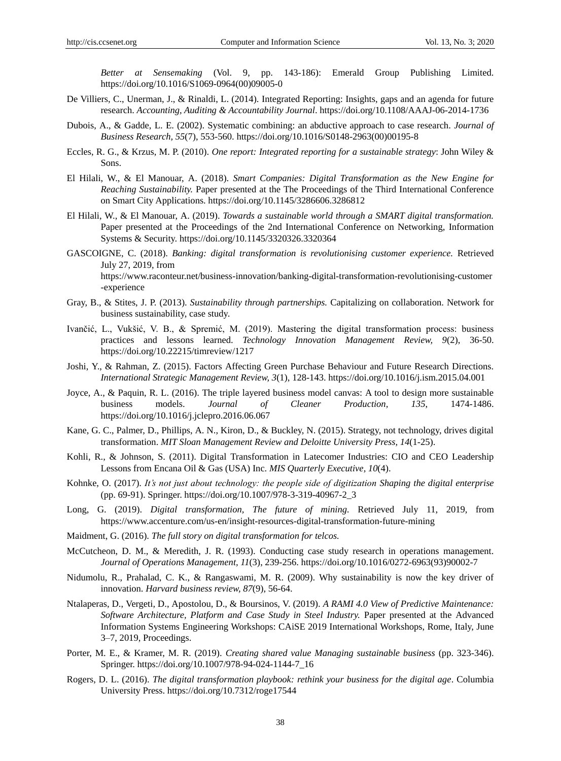*Better at Sensemaking* (Vol. 9, pp. 143-186): Emerald Group Publishing Limited. https://doi.org/10.1016/S1069-0964(00)09005-0

- <span id="page-8-16"></span>De Villiers, C., Unerman, J., & Rinaldi, L. (2014). Integrated Reporting: Insights, gaps and an agenda for future research. *Accounting, Auditing & Accountability Journal*. https://doi.org/10.1108/AAAJ-06-2014-1736
- <span id="page-8-7"></span>Dubois, A., & Gadde, L. E. (2002). Systematic combining: an abductive approach to case research. *Journal of Business Research, 55*(7), 553-560. https://doi.org/10.1016/S0148-2963(00)00195-8
- <span id="page-8-3"></span>Eccles, R. G., & Krzus, M. P. (2010). *One report: Integrated reporting for a sustainable strategy*: John Wiley & Sons.
- <span id="page-8-0"></span>El Hilali, W., & El Manouar, A. (2018). *Smart Companies: Digital Transformation as the New Engine for Reaching Sustainability.* Paper presented at the The Proceedings of the Third International Conference on Smart City Applications. https://doi.org/10.1145/3286606.3286812
- <span id="page-8-19"></span>El Hilali, W., & El Manouar, A. (2019). *Towards a sustainable world through a SMART digital transformation.* Paper presented at the Proceedings of the 2nd International Conference on Networking, Information Systems & Security. https://doi.org/10.1145/3320326.3320364
- <span id="page-8-13"></span>GASCOIGNE, C. (2018). *Banking: digital transformation is revolutionising customer experience.* Retrieved July 27, 2019, from https:[//www.raconteur.net/business-innovation/banking-digital-transformation-revolutionising-customer](http://www.raconteur.net/business-innovation/banking-digital-transformation-revolutionising-customer-experience) [-experience](http://www.raconteur.net/business-innovation/banking-digital-transformation-revolutionising-customer-experience)
- <span id="page-8-4"></span>Gray, B., & Stites, J. P. (2013). *Sustainability through partnerships.* Capitalizing on collaboration. Network for business sustainability, case study.
- <span id="page-8-1"></span>Ivančić, L., Vukšić, V. B., & Spremić, M. (2019). Mastering the digital transformation process: business practices and lessons learned. *Technology Innovation Management Review, 9*(2), 36-50. https://doi.org/10.22215/timreview/1217
- <span id="page-8-15"></span>Joshi, Y., & Rahman, Z. (2015). Factors Affecting Green Purchase Behaviour and Future Research Directions. *International Strategic Management Review, 3*(1), 128-143. https://doi.org/10.1016/j.ism.2015.04.001
- <span id="page-8-5"></span>Joyce, A., & Paquin, R. L. (2016). The triple layered business model canvas: A tool to design more sustainable business models. *Journal of Cleaner Production, 135*, 1474-1486. https://doi.org/10.1016/j.jclepro.2016.06.067
- <span id="page-8-17"></span>Kane, G. C., Palmer, D., Phillips, A. N., Kiron, D., & Buckley, N. (2015). Strategy, not technology, drives digital transformation. *MIT Sloan Management Review and Deloitte University Press, 14*(1-25).
- <span id="page-8-2"></span>Kohli, R., & Johnson, S. (2011). Digital Transformation in Latecomer Industries: CIO and CEO Leadership Lessons from Encana Oil & Gas (USA) Inc. *MIS Quarterly Executive, 10*(4).
- <span id="page-8-18"></span>Kohnke, O. (2017). *It's not just about technology: the people side of digitization Shaping the digital enterprise* (pp. 69-91). Springer. https://doi.org/10.1007/978-3-319-40967-2\_3
- <span id="page-8-10"></span>Long, G. (2019). *Digital transformation, The future of mining.* Retrieved July 11, 2019, from https:[//www.accenture.com/us-en/insight-resources-digital-transformation-future-mining](http://www.accenture.com/us-en/insight-resources-digital-transformation-future-mining)
- <span id="page-8-9"></span>Maidment, G. (2016). *The full story on digital transformation for telcos.*
- <span id="page-8-8"></span>McCutcheon, D. M., & Meredith, J. R. (1993). Conducting case study research in operations management. *Journal of Operations Management, 11*(3), 239-256. https://doi.org/10.1016/0272-6963(93)90002-7
- <span id="page-8-6"></span>Nidumolu, R., Prahalad, C. K., & Rangaswami, M. R. (2009). Why sustainability is now the key driver of innovation. *Harvard business review, 87*(9), 56-64.
- <span id="page-8-14"></span>Ntalaperas, D., Vergeti, D., Apostolou, D., & Boursinos, V. (2019). *A RAMI 4.0 View of Predictive Maintenance: Software Architecture, Platform and Case Study in Steel Industry.* Paper presented at the Advanced Information Systems Engineering Workshops: CAiSE 2019 International Workshops, Rome, Italy, June 3–7, 2019, Proceedings.
- <span id="page-8-12"></span>Porter, M. E., & Kramer, M. R. (2019). *Creating shared value Managing sustainable business* (pp. 323-346). Springer. https://doi.org/10.1007/978-94-024-1144-7\_16
- <span id="page-8-11"></span>Rogers, D. L. (2016). *The digital transformation playbook: rethink your business for the digital age*. Columbia University Press. https://doi.org/10.7312/roge17544